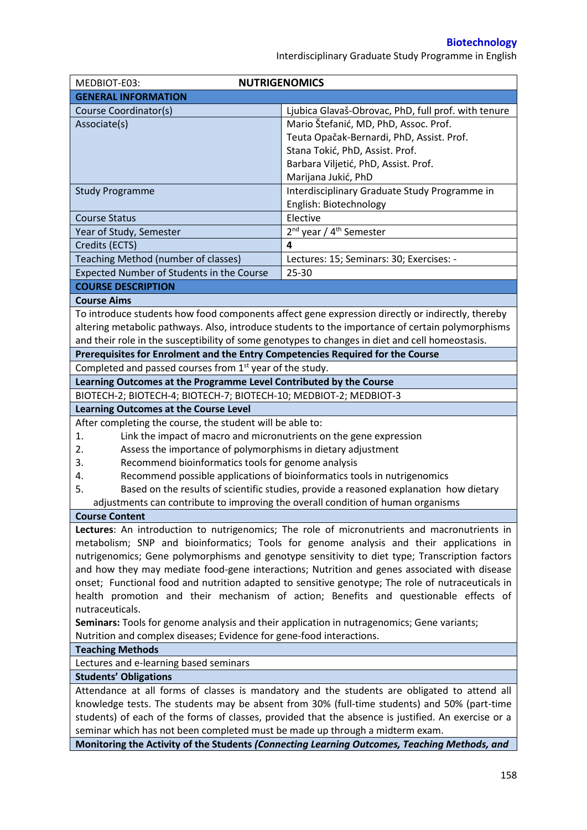Interdisciplinary Graduate Study Programme in English

| MEDBIOT-E03:                                                                                        | <b>NUTRIGENOMICS</b>                                                                             |  |  |  |
|-----------------------------------------------------------------------------------------------------|--------------------------------------------------------------------------------------------------|--|--|--|
| <b>GENERAL INFORMATION</b>                                                                          |                                                                                                  |  |  |  |
| Course Coordinator(s)                                                                               | Ljubica Glavaš-Obrovac, PhD, full prof. with tenure                                              |  |  |  |
| Associate(s)                                                                                        | Mario Štefanić, MD, PhD, Assoc. Prof.                                                            |  |  |  |
|                                                                                                     | Teuta Opačak-Bernardi, PhD, Assist. Prof.                                                        |  |  |  |
|                                                                                                     | Stana Tokić, PhD, Assist. Prof.                                                                  |  |  |  |
|                                                                                                     | Barbara Viljetić, PhD, Assist. Prof.                                                             |  |  |  |
|                                                                                                     | Marijana Jukić, PhD                                                                              |  |  |  |
| <b>Study Programme</b>                                                                              | Interdisciplinary Graduate Study Programme in                                                    |  |  |  |
|                                                                                                     | English: Biotechnology                                                                           |  |  |  |
| <b>Course Status</b>                                                                                | Elective                                                                                         |  |  |  |
| Year of Study, Semester                                                                             | 2 <sup>nd</sup> year / 4 <sup>th</sup> Semester                                                  |  |  |  |
| Credits (ECTS)                                                                                      | 4                                                                                                |  |  |  |
| Teaching Method (number of classes)                                                                 | Lectures: 15; Seminars: 30; Exercises: -                                                         |  |  |  |
| Expected Number of Students in the Course                                                           | 25-30                                                                                            |  |  |  |
| <b>COURSE DESCRIPTION</b>                                                                           |                                                                                                  |  |  |  |
| <b>Course Aims</b>                                                                                  |                                                                                                  |  |  |  |
|                                                                                                     | To introduce students how food components affect gene expression directly or indirectly, thereby |  |  |  |
|                                                                                                     | altering metabolic pathways. Also, introduce students to the importance of certain polymorphisms |  |  |  |
| and their role in the susceptibility of some genotypes to changes in diet and cell homeostasis.     |                                                                                                  |  |  |  |
| Prerequisites for Enrolment and the Entry Competencies Required for the Course                      |                                                                                                  |  |  |  |
| Completed and passed courses from 1 <sup>st</sup> year of the study.                                |                                                                                                  |  |  |  |
| Learning Outcomes at the Programme Level Contributed by the Course                                  |                                                                                                  |  |  |  |
| BIOTECH-2; BIOTECH-4; BIOTECH-7; BIOTECH-10; MEDBIOT-2; MEDBIOT-3                                   |                                                                                                  |  |  |  |
| <b>Learning Outcomes at the Course Level</b>                                                        |                                                                                                  |  |  |  |
| After completing the course, the student will be able to:                                           |                                                                                                  |  |  |  |
| Link the impact of macro and micronutrients on the gene expression<br>1.                            |                                                                                                  |  |  |  |
| Assess the importance of polymorphisms in dietary adjustment<br>2.                                  |                                                                                                  |  |  |  |
| 3.<br>Recommend bioinformatics tools for genome analysis                                            |                                                                                                  |  |  |  |
| 4.                                                                                                  | Recommend possible applications of bioinformatics tools in nutrigenomics                         |  |  |  |
| 5.                                                                                                  | Based on the results of scientific studies, provide a reasoned explanation how dietary           |  |  |  |
| adjustments can contribute to improving the overall condition of human organisms                    |                                                                                                  |  |  |  |
| <b>Course Content</b>                                                                               |                                                                                                  |  |  |  |
|                                                                                                     | Lectures: An introduction to nutrigenomics; The role of micronutrients and macronutrients in     |  |  |  |
|                                                                                                     | metabolism; SNP and bioinformatics; Tools for genome analysis and their applications in          |  |  |  |
| nutrigenomics; Gene polymorphisms and genotype sensitivity to diet type; Transcription factors      |                                                                                                  |  |  |  |
|                                                                                                     | and how they may mediate food-gene interactions; Nutrition and genes associated with disease     |  |  |  |
| onset; Functional food and nutrition adapted to sensitive genotype; The role of nutraceuticals in   |                                                                                                  |  |  |  |
|                                                                                                     | health promotion and their mechanism of action; Benefits and questionable effects of             |  |  |  |
| nutraceuticals.                                                                                     |                                                                                                  |  |  |  |
| Seminars: Tools for genome analysis and their application in nutragenomics; Gene variants;          |                                                                                                  |  |  |  |
| Nutrition and complex diseases; Evidence for gene-food interactions.                                |                                                                                                  |  |  |  |
| <b>Teaching Methods</b>                                                                             |                                                                                                  |  |  |  |
| Lectures and e-learning based seminars                                                              |                                                                                                  |  |  |  |
| <b>Students' Obligations</b>                                                                        |                                                                                                  |  |  |  |
| Attendance at all forms of classes is mandatory and the students are obligated to attend all        |                                                                                                  |  |  |  |
| knowledge tests. The students may be absent from 30% (full-time students) and 50% (part-time        |                                                                                                  |  |  |  |
| students) of each of the forms of classes, provided that the absence is justified. An exercise or a |                                                                                                  |  |  |  |
| seminar which has not been completed must be made up through a midterm exam.                        |                                                                                                  |  |  |  |
|                                                                                                     | Monitoring the Activity of the Students (Connecting Learning Outcomes, Teaching Methods, and     |  |  |  |